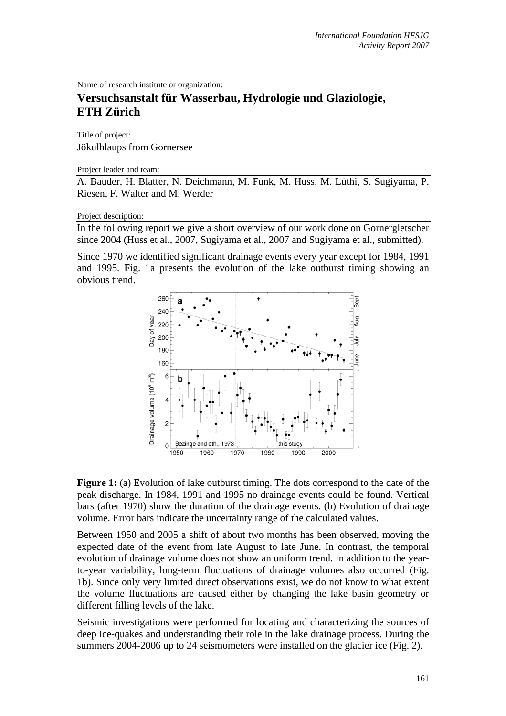Name of research institute or organization:

## **Versuchsanstalt für Wasserbau, Hydrologie und Glaziologie, ETH Zürich**

Title of project:

Jökulhlaups from Gornersee

Project leader and team:

A. Bauder, H. Blatter, N. Deichmann, M. Funk, M. Huss, M. Lüthi, S. Sugiyama, P. Riesen, F. Walter and M. Werder

## Project description:

In the following report we give a short overview of our work done on Gornergletscher since 2004 (Huss et al., 2007, Sugiyama et al., 2007 and Sugiyama et al., submitted).

Since 1970 we identified significant drainage events every year except for 1984, 1991 and 1995. Fig. 1a presents the evolution of the lake outburst timing showing an obvious trend.





Between 1950 and 2005 a shift of about two months has been observed, moving the expected date of the event from late August to late June. In contrast, the temporal evolution of drainage volume does not show an uniform trend. In addition to the yearto-year variability, long-term fluctuations of drainage volumes also occurred (Fig. 1b). Since only very limited direct observations exist, we do not know to what extent the volume fluctuations are caused either by changing the lake basin geometry or different filling levels of the lake.

Seismic investigations were performed for locating and characterizing the sources of deep ice-quakes and understanding their role in the lake drainage process. During the summers 2004-2006 up to 24 seismometers were installed on the glacier ice (Fig. 2).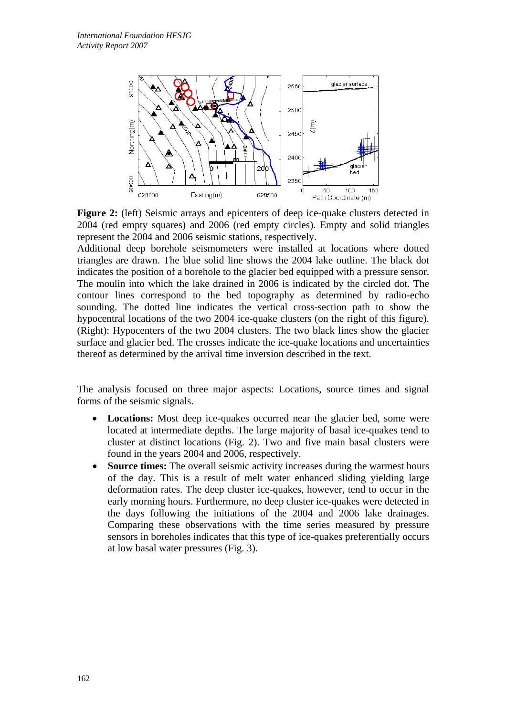

**Figure 2:** (left) Seismic arrays and epicenters of deep ice-quake clusters detected in 2004 (red empty squares) and 2006 (red empty circles). Empty and solid triangles represent the 2004 and 2006 seismic stations, respectively.

Additional deep borehole seismometers were installed at locations where dotted triangles are drawn. The blue solid line shows the 2004 lake outline. The black dot indicates the position of a borehole to the glacier bed equipped with a pressure sensor. The moulin into which the lake drained in 2006 is indicated by the circled dot. The contour lines correspond to the bed topography as determined by radio-echo sounding. The dotted line indicates the vertical cross-section path to show the hypocentral locations of the two 2004 ice-quake clusters (on the right of this figure). (Right): Hypocenters of the two 2004 clusters. The two black lines show the glacier surface and glacier bed. The crosses indicate the ice-quake locations and uncertainties thereof as determined by the arrival time inversion described in the text.

The analysis focused on three major aspects: Locations, source times and signal forms of the seismic signals.

- **Locations:** Most deep ice-quakes occurred near the glacier bed, some were located at intermediate depths. The large majority of basal ice-quakes tend to cluster at distinct locations (Fig. 2). Two and five main basal clusters were found in the years 2004 and 2006, respectively.
- **Source times:** The overall seismic activity increases during the warmest hours of the day. This is a result of melt water enhanced sliding yielding large deformation rates. The deep cluster ice-quakes, however, tend to occur in the early morning hours. Furthermore, no deep cluster ice-quakes were detected in the days following the initiations of the 2004 and 2006 lake drainages. Comparing these observations with the time series measured by pressure sensors in boreholes indicates that this type of ice-quakes preferentially occurs at low basal water pressures (Fig. 3).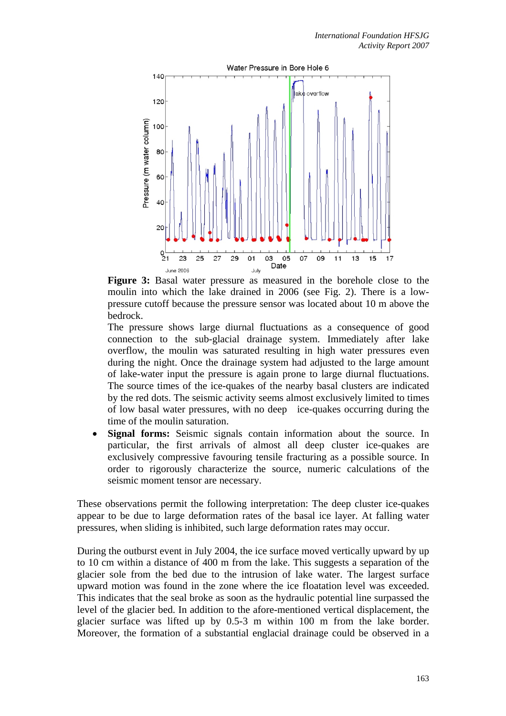

**Figure 3:** Basal water pressure as measured in the borehole close to the moulin into which the lake drained in 2006 (see Fig. 2). There is a lowpressure cutoff because the pressure sensor was located about 10 m above the bedrock.

The pressure shows large diurnal fluctuations as a consequence of good connection to the sub-glacial drainage system. Immediately after lake overflow, the moulin was saturated resulting in high water pressures even during the night. Once the drainage system had adjusted to the large amount of lake-water input the pressure is again prone to large diurnal fluctuations. The source times of the ice-quakes of the nearby basal clusters are indicated by the red dots. The seismic activity seems almost exclusively limited to times of low basal water pressures, with no deep ice-quakes occurring during the time of the moulin saturation.

• **Signal forms:** Seismic signals contain information about the source. In particular, the first arrivals of almost all deep cluster ice-quakes are exclusively compressive favouring tensile fracturing as a possible source. In order to rigorously characterize the source, numeric calculations of the seismic moment tensor are necessary.

These observations permit the following interpretation: The deep cluster ice-quakes appear to be due to large deformation rates of the basal ice layer. At falling water pressures, when sliding is inhibited, such large deformation rates may occur.

During the outburst event in July 2004, the ice surface moved vertically upward by up to 10 cm within a distance of 400 m from the lake. This suggests a separation of the glacier sole from the bed due to the intrusion of lake water. The largest surface upward motion was found in the zone where the ice floatation level was exceeded. This indicates that the seal broke as soon as the hydraulic potential line surpassed the level of the glacier bed. In addition to the afore-mentioned vertical displacement, the glacier surface was lifted up by 0.5-3 m within 100 m from the lake border. Moreover, the formation of a substantial englacial drainage could be observed in a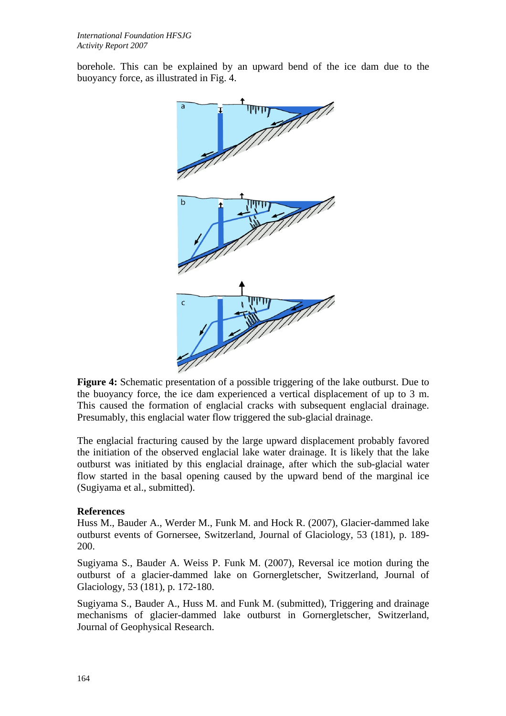borehole. This can be explained by an upward bend of the ice dam due to the buoyancy force, as illustrated in Fig. 4.



**Figure 4:** Schematic presentation of a possible triggering of the lake outburst. Due to the buoyancy force, the ice dam experienced a vertical displacement of up to 3 m. This caused the formation of englacial cracks with subsequent englacial drainage. Presumably, this englacial water flow triggered the sub-glacial drainage.

The englacial fracturing caused by the large upward displacement probably favored the initiation of the observed englacial lake water drainage. It is likely that the lake outburst was initiated by this englacial drainage, after which the sub-glacial water flow started in the basal opening caused by the upward bend of the marginal ice (Sugiyama et al., submitted).

## **References**

Huss M., Bauder A., Werder M., Funk M. and Hock R. (2007), Glacier-dammed lake outburst events of Gornersee, Switzerland, Journal of Glaciology, 53 (181), p. 189- 200.

Sugiyama S., Bauder A. Weiss P. Funk M. (2007), Reversal ice motion during the outburst of a glacier-dammed lake on Gornergletscher, Switzerland, Journal of Glaciology, 53 (181), p. 172-180.

Sugiyama S., Bauder A., Huss M. and Funk M. (submitted), Triggering and drainage mechanisms of glacier-dammed lake outburst in Gornergletscher, Switzerland, Journal of Geophysical Research.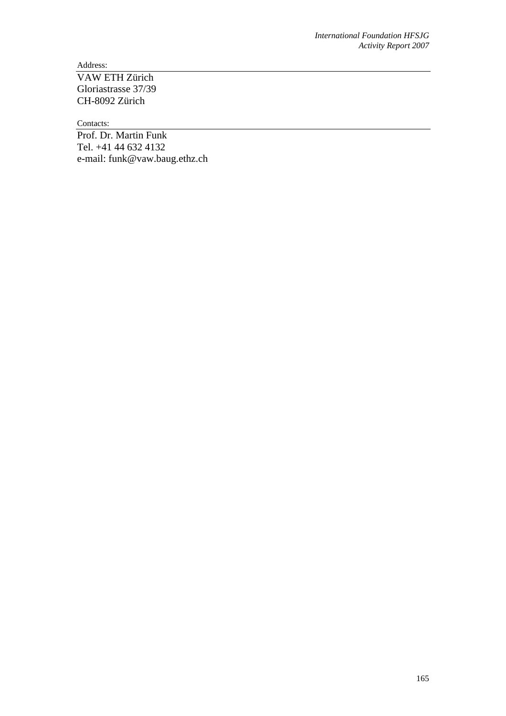Address:

VAW ETH Zürich Gloriastrasse 37/39 CH-8092 Zürich

Contacts:

Prof. Dr. Martin Funk Tel. +41 44 632 4132 e-mail: funk@vaw.baug.ethz.ch